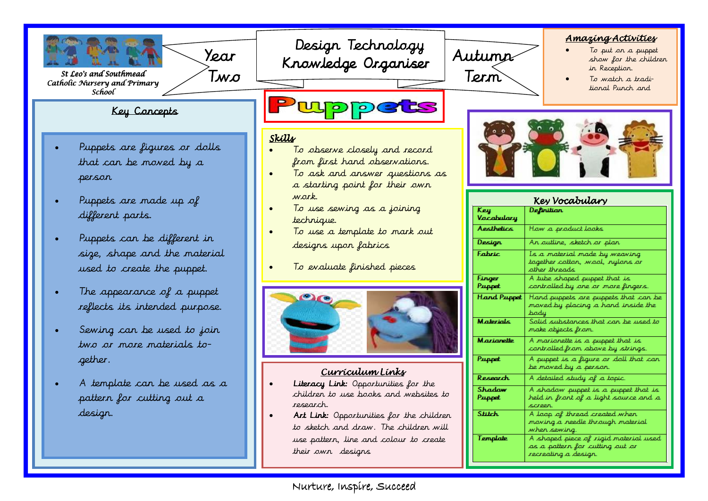